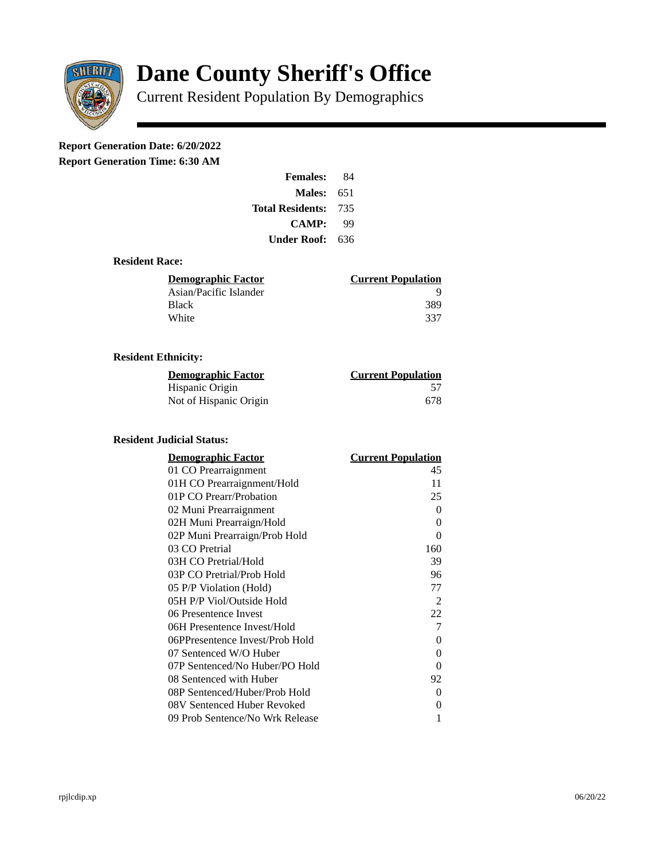

# **Dane County Sheriff's Office**

Current Resident Population By Demographics

# **Report Generation Date: 6/20/2022**

**Report Generation Time: 6:30 AM** 

| <b>Females:</b>         | 84  |
|-------------------------|-----|
| Males:                  | 651 |
| <b>Total Residents:</b> | 735 |
| CAMP:                   | qq  |
| Under Roof: \           | 636 |

#### **Resident Race:**

| Demographic Factor     | <b>Current Population</b> |
|------------------------|---------------------------|
| Asian/Pacific Islander |                           |
| Black                  | 389                       |
| White                  | -337                      |
|                        |                           |

#### **Resident Ethnicity:**

| <u>Demographic Factor</u> | <b>Current Population</b> |
|---------------------------|---------------------------|
| Hispanic Origin           | 57                        |
| Not of Hispanic Origin    | 678                       |

## **Resident Judicial Status:**

| <u>Demographic Factor</u>       | <u> Current Population</u> |
|---------------------------------|----------------------------|
| 01 CO Prearraignment            | 45                         |
| 01H CO Prearraignment/Hold      | 11                         |
| 01P CO Prearr/Probation         | 25                         |
| 02 Muni Prearraignment          | 0                          |
| 02H Muni Prearraign/Hold        | 0                          |
| 02P Muni Prearraign/Prob Hold   | 0                          |
| 03 CO Pretrial                  | 160                        |
| 03H CO Pretrial/Hold            | 39                         |
| 03P CO Pretrial/Prob Hold       | 96                         |
| 05 P/P Violation (Hold)         | 77                         |
| 05H P/P Viol/Outside Hold       | 2                          |
| 06 Presentence Invest           | 22                         |
| 06H Presentence Invest/Hold     | 7                          |
| 06PPresentence Invest/Prob Hold | 0                          |
| 07 Sentenced W/O Huber          | 0                          |
| 07P Sentenced/No Huber/PO Hold  | 0                          |
| 08 Sentenced with Huber         | 92                         |
| 08P Sentenced/Huber/Prob Hold   | 0                          |
| 08V Sentenced Huber Revoked     | 0                          |
| 09 Prob Sentence/No Wrk Release | 1                          |